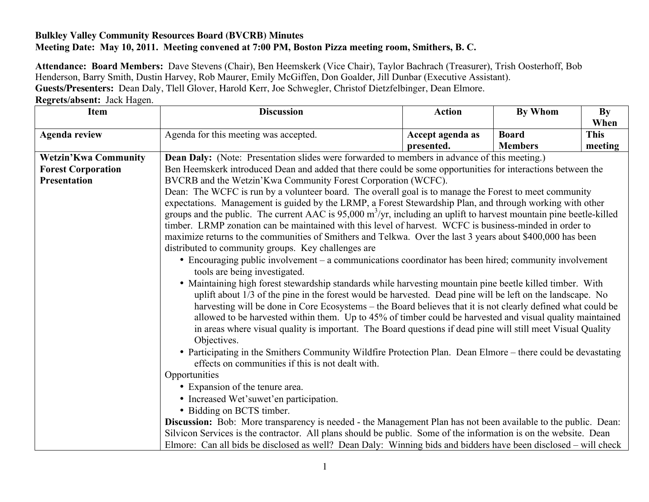## **Bulkley Valley Community Resources Board (BVCRB) Minutes Meeting Date: May 10, 2011. Meeting convened at 7:00 PM, Boston Pizza meeting room, Smithers, B. C.**

**Attendance: Board Members:** Dave Stevens (Chair), Ben Heemskerk (Vice Chair), Taylor Bachrach (Treasurer), Trish Oosterhoff, Bob Henderson, Barry Smith, Dustin Harvey, Rob Maurer, Emily McGiffen, Don Goalder, Jill Dunbar (Executive Assistant). **Guests/Presenters:** Dean Daly, Tlell Glover, Harold Kerr, Joe Schwegler, Christof Dietzfelbinger, Dean Elmore. **Regrets/absent:** Jack Hagen.

| <b>Item</b>                 | <b>Discussion</b>                                                                                                                                                                                                                                                                                                                                                                                                     | <b>Action</b>                  | <b>By Whom</b>                 | By<br>When             |  |
|-----------------------------|-----------------------------------------------------------------------------------------------------------------------------------------------------------------------------------------------------------------------------------------------------------------------------------------------------------------------------------------------------------------------------------------------------------------------|--------------------------------|--------------------------------|------------------------|--|
| <b>Agenda review</b>        | Agenda for this meeting was accepted.                                                                                                                                                                                                                                                                                                                                                                                 | Accept agenda as<br>presented. | <b>Board</b><br><b>Members</b> | <b>This</b><br>meeting |  |
| <b>Wetzin'Kwa Community</b> |                                                                                                                                                                                                                                                                                                                                                                                                                       |                                |                                |                        |  |
| <b>Forest Corporation</b>   | Dean Daly: (Note: Presentation slides were forwarded to members in advance of this meeting.)<br>Ben Heemskerk introduced Dean and added that there could be some opportunities for interactions between the                                                                                                                                                                                                           |                                |                                |                        |  |
| <b>Presentation</b>         | BVCRB and the Wetzin' Kwa Community Forest Corporation (WCFC).                                                                                                                                                                                                                                                                                                                                                        |                                |                                |                        |  |
|                             | Dean: The WCFC is run by a volunteer board. The overall goal is to manage the Forest to meet community<br>expectations. Management is guided by the LRMP, a Forest Stewardship Plan, and through working with other                                                                                                                                                                                                   |                                |                                |                        |  |
|                             |                                                                                                                                                                                                                                                                                                                                                                                                                       |                                |                                |                        |  |
|                             | groups and the public. The current AAC is $95,000 \text{ m}^3/\text{yr}$ , including an uplift to harvest mountain pine beetle-killed<br>timber. LRMP zonation can be maintained with this level of harvest. WCFC is business-minded in order to<br>maximize returns to the communities of Smithers and Telkwa. Over the last 3 years about \$400,000 has been<br>distributed to community groups. Key challenges are |                                |                                |                        |  |
|                             |                                                                                                                                                                                                                                                                                                                                                                                                                       |                                |                                |                        |  |
|                             |                                                                                                                                                                                                                                                                                                                                                                                                                       |                                |                                |                        |  |
|                             |                                                                                                                                                                                                                                                                                                                                                                                                                       |                                |                                |                        |  |
|                             | • Encouraging public involvement – a communications coordinator has been hired; community involvement                                                                                                                                                                                                                                                                                                                 |                                |                                |                        |  |
|                             | tools are being investigated.                                                                                                                                                                                                                                                                                                                                                                                         |                                |                                |                        |  |
|                             | • Maintaining high forest stewardship standards while harvesting mountain pine beetle killed timber. With                                                                                                                                                                                                                                                                                                             |                                |                                |                        |  |
|                             | uplift about 1/3 of the pine in the forest would be harvested. Dead pine will be left on the landscape. No                                                                                                                                                                                                                                                                                                            |                                |                                |                        |  |
|                             | harvesting will be done in Core Ecosystems – the Board believes that it is not clearly defined what could be                                                                                                                                                                                                                                                                                                          |                                |                                |                        |  |
|                             | allowed to be harvested within them. Up to 45% of timber could be harvested and visual quality maintained                                                                                                                                                                                                                                                                                                             |                                |                                |                        |  |
|                             | in areas where visual quality is important. The Board questions if dead pine will still meet Visual Quality<br>Objectives.                                                                                                                                                                                                                                                                                            |                                |                                |                        |  |
|                             | • Participating in the Smithers Community Wildfire Protection Plan. Dean Elmore – there could be devastating                                                                                                                                                                                                                                                                                                          |                                |                                |                        |  |
|                             | effects on communities if this is not dealt with.                                                                                                                                                                                                                                                                                                                                                                     |                                |                                |                        |  |
|                             | Opportunities                                                                                                                                                                                                                                                                                                                                                                                                         |                                |                                |                        |  |
|                             | • Expansion of the tenure area.                                                                                                                                                                                                                                                                                                                                                                                       |                                |                                |                        |  |
|                             | • Increased Wet'suwet'en participation.                                                                                                                                                                                                                                                                                                                                                                               |                                |                                |                        |  |
|                             | • Bidding on BCTS timber.                                                                                                                                                                                                                                                                                                                                                                                             |                                |                                |                        |  |
|                             | Discussion: Bob: More transparency is needed - the Management Plan has not been available to the public. Dean:                                                                                                                                                                                                                                                                                                        |                                |                                |                        |  |
|                             | Silvicon Services is the contractor. All plans should be public. Some of the information is on the website. Dean                                                                                                                                                                                                                                                                                                      |                                |                                |                        |  |
|                             | Elmore: Can all bids be disclosed as well? Dean Daly: Winning bids and bidders have been disclosed – will check                                                                                                                                                                                                                                                                                                       |                                |                                |                        |  |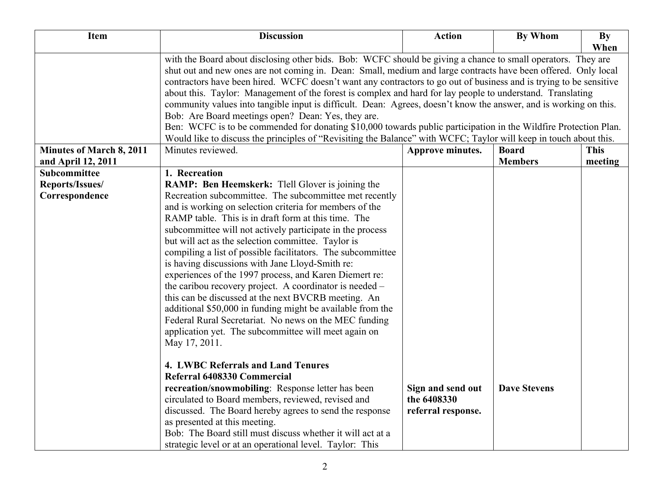| Item                            | <b>Discussion</b>                                                                                                                                                                                                                                                                                                                                                                                                                                                                                                                                                                                                                                                                                                                                                                                                                                                                      | <b>Action</b>                                          | <b>By Whom</b>      | By          |
|---------------------------------|----------------------------------------------------------------------------------------------------------------------------------------------------------------------------------------------------------------------------------------------------------------------------------------------------------------------------------------------------------------------------------------------------------------------------------------------------------------------------------------------------------------------------------------------------------------------------------------------------------------------------------------------------------------------------------------------------------------------------------------------------------------------------------------------------------------------------------------------------------------------------------------|--------------------------------------------------------|---------------------|-------------|
|                                 |                                                                                                                                                                                                                                                                                                                                                                                                                                                                                                                                                                                                                                                                                                                                                                                                                                                                                        |                                                        |                     | When        |
|                                 | with the Board about disclosing other bids. Bob: WCFC should be giving a chance to small operators. They are<br>shut out and new ones are not coming in. Dean: Small, medium and large contracts have been offered. Only local<br>contractors have been hired. WCFC doesn't want any contractors to go out of business and is trying to be sensitive<br>about this. Taylor: Management of the forest is complex and hard for lay people to understand. Translating<br>community values into tangible input is difficult. Dean: Agrees, doesn't know the answer, and is working on this.<br>Bob: Are Board meetings open? Dean: Yes, they are.<br>Ben: WCFC is to be commended for donating \$10,000 towards public participation in the Wildfire Protection Plan.<br>Would like to discuss the principles of "Revisiting the Balance" with WCFC; Taylor will keep in touch about this. |                                                        |                     |             |
| <b>Minutes of March 8, 2011</b> | Minutes reviewed.                                                                                                                                                                                                                                                                                                                                                                                                                                                                                                                                                                                                                                                                                                                                                                                                                                                                      | Approve minutes.                                       | <b>Board</b>        | <b>This</b> |
| and April 12, 2011              |                                                                                                                                                                                                                                                                                                                                                                                                                                                                                                                                                                                                                                                                                                                                                                                                                                                                                        |                                                        | <b>Members</b>      | meeting     |
| Subcommittee                    | 1. Recreation                                                                                                                                                                                                                                                                                                                                                                                                                                                                                                                                                                                                                                                                                                                                                                                                                                                                          |                                                        |                     |             |
| Reports/Issues/                 | <b>RAMP:</b> Ben Heemskerk: Thell Glover is joining the                                                                                                                                                                                                                                                                                                                                                                                                                                                                                                                                                                                                                                                                                                                                                                                                                                |                                                        |                     |             |
| Correspondence                  | Recreation subcommittee. The subcommittee met recently<br>and is working on selection criteria for members of the<br>RAMP table. This is in draft form at this time. The<br>subcommittee will not actively participate in the process<br>but will act as the selection committee. Taylor is<br>compiling a list of possible facilitators. The subcommittee<br>is having discussions with Jane Lloyd-Smith re:<br>experiences of the 1997 process, and Karen Diemert re:<br>the caribou recovery project. A coordinator is needed –                                                                                                                                                                                                                                                                                                                                                     |                                                        |                     |             |
|                                 | this can be discussed at the next BVCRB meeting. An<br>additional \$50,000 in funding might be available from the<br>Federal Rural Secretariat. No news on the MEC funding<br>application yet. The subcommittee will meet again on<br>May 17, 2011.                                                                                                                                                                                                                                                                                                                                                                                                                                                                                                                                                                                                                                    |                                                        |                     |             |
|                                 | 4. LWBC Referrals and Land Tenures                                                                                                                                                                                                                                                                                                                                                                                                                                                                                                                                                                                                                                                                                                                                                                                                                                                     |                                                        |                     |             |
|                                 | Referral 6408330 Commercial<br>recreation/snowmobiling: Response letter has been<br>circulated to Board members, reviewed, revised and<br>discussed. The Board hereby agrees to send the response<br>as presented at this meeting.<br>Bob: The Board still must discuss whether it will act at a<br>strategic level or at an operational level. Taylor: This                                                                                                                                                                                                                                                                                                                                                                                                                                                                                                                           | Sign and send out<br>the 6408330<br>referral response. | <b>Dave Stevens</b> |             |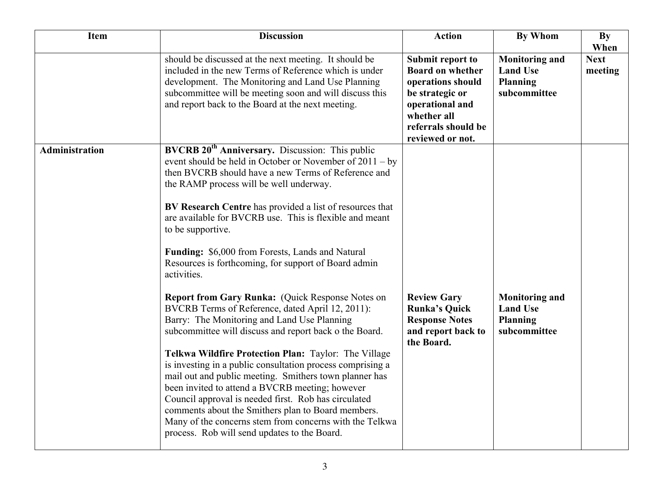| <b>Item</b>           | <b>Discussion</b>                                                                                                                                                                                                                                                                                                                                                                                                                                                                                                                                                                                                                                                                                                                                                                                                                                                                                                                                                                                                                                                                                                                                                               | <b>Action</b>                                                                                                                                                    | <b>By Whom</b>                                                              | <b>By</b><br>When      |
|-----------------------|---------------------------------------------------------------------------------------------------------------------------------------------------------------------------------------------------------------------------------------------------------------------------------------------------------------------------------------------------------------------------------------------------------------------------------------------------------------------------------------------------------------------------------------------------------------------------------------------------------------------------------------------------------------------------------------------------------------------------------------------------------------------------------------------------------------------------------------------------------------------------------------------------------------------------------------------------------------------------------------------------------------------------------------------------------------------------------------------------------------------------------------------------------------------------------|------------------------------------------------------------------------------------------------------------------------------------------------------------------|-----------------------------------------------------------------------------|------------------------|
|                       | should be discussed at the next meeting. It should be<br>included in the new Terms of Reference which is under<br>development. The Monitoring and Land Use Planning<br>subcommittee will be meeting soon and will discuss this<br>and report back to the Board at the next meeting.                                                                                                                                                                                                                                                                                                                                                                                                                                                                                                                                                                                                                                                                                                                                                                                                                                                                                             | Submit report to<br><b>Board on whether</b><br>operations should<br>be strategic or<br>operational and<br>whether all<br>referrals should be<br>reviewed or not. | <b>Monitoring and</b><br><b>Land Use</b><br><b>Planning</b><br>subcommittee | <b>Next</b><br>meeting |
| <b>Administration</b> | BVCRB 20 <sup>th</sup> Anniversary. Discussion: This public<br>event should be held in October or November of $2011 - by$<br>then BVCRB should have a new Terms of Reference and<br>the RAMP process will be well underway.<br>BV Research Centre has provided a list of resources that<br>are available for BVCRB use. This is flexible and meant<br>to be supportive.<br>Funding: \$6,000 from Forests, Lands and Natural<br>Resources is forthcoming, for support of Board admin<br>activities.<br>Report from Gary Runka: (Quick Response Notes on<br>BVCRB Terms of Reference, dated April 12, 2011):<br>Barry: The Monitoring and Land Use Planning<br>subcommittee will discuss and report back o the Board.<br>Telkwa Wildfire Protection Plan: Taylor: The Village<br>is investing in a public consultation process comprising a<br>mail out and public meeting. Smithers town planner has<br>been invited to attend a BVCRB meeting; however<br>Council approval is needed first. Rob has circulated<br>comments about the Smithers plan to Board members.<br>Many of the concerns stem from concerns with the Telkwa<br>process. Rob will send updates to the Board. | <b>Review Gary</b><br><b>Runka's Quick</b><br><b>Response Notes</b><br>and report back to<br>the Board.                                                          | <b>Monitoring and</b><br><b>Land Use</b><br><b>Planning</b><br>subcommittee |                        |